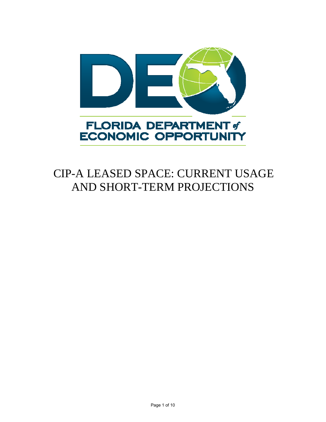

# CIP-A LEASED SPACE: CURRENT USAGE AND SHORT-TERM PROJECTIONS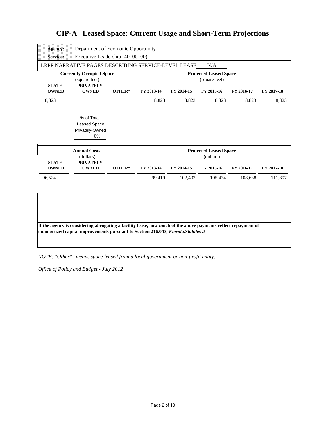| <b>Agency:</b>  | Department of Ecomonic Opportunity                             |        |            |                               |                               |            |            |
|-----------------|----------------------------------------------------------------|--------|------------|-------------------------------|-------------------------------|------------|------------|
| <b>Service:</b> | Executive Leadership (40100100)                                |        |            |                               |                               |            |            |
|                 | LRPP NARRATIVE PAGES DESCRIBING SERVICE-LEVEL LEASE            |        |            |                               | N/A                           |            |            |
| <b>STATE-</b>   | <b>Currently Occupied Space</b><br>(square feet)<br>PRIVATELY- |        |            | <b>Projected Leased Space</b> |                               |            |            |
| <b>OWNED</b>    | <b>OWNED</b>                                                   | OTHER* | FY 2013-14 | FY 2014-15                    | FY 2015-16                    | FY 2016-17 | FY 2017-18 |
| 8,823           |                                                                |        | 8,823      | 8,823                         | 8,823                         | 8,823      | 8,823      |
|                 | % of Total<br>Leased Space<br>Privately-Owned<br>0%            |        |            |                               |                               |            |            |
|                 |                                                                |        |            |                               |                               |            |            |
|                 | <b>Annual Costs</b>                                            |        |            |                               | <b>Projected Leased Space</b> |            |            |
| <b>STATE-</b>   | (dollars)                                                      |        |            |                               | (dollars)                     |            |            |
| <b>OWNED</b>    | PRIVATELY-<br><b>OWNED</b>                                     | OTHER* | FY 2013-14 | FY 2014-15                    | FY 2015-16                    | FY 2016-17 | FY 2017-18 |
| 96,524          |                                                                |        | 99,419     | 102,402                       | 105,474                       | 108,638    | 111,897    |

*NOTE: "Other\*" means space leased from a local government or non-profit entity.*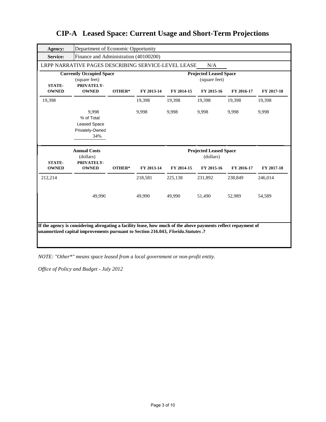| <b>Agency:</b>                | Department of Economic Opportunity                                                                                                                                                                  |        |                                                |            |                               |            |            |  |
|-------------------------------|-----------------------------------------------------------------------------------------------------------------------------------------------------------------------------------------------------|--------|------------------------------------------------|------------|-------------------------------|------------|------------|--|
| <b>Service:</b>               | Finance and Administration (40100200)                                                                                                                                                               |        |                                                |            |                               |            |            |  |
|                               | LRPP NARRATIVE PAGES DESCRIBING SERVICE-LEVEL LEASE                                                                                                                                                 |        |                                                |            | N/A                           |            |            |  |
| <b>STATE-</b>                 | <b>Currently Occupied Space</b><br>(square feet)<br>PRIVATELY-                                                                                                                                      |        | <b>Projected Leased Space</b><br>(square feet) |            |                               |            |            |  |
| <b>OWNED</b>                  | <b>OWNED</b>                                                                                                                                                                                        | OTHER* | FY 2013-14                                     | FY 2014-15 | FY 2015-16                    | FY 2016-17 | FY 2017-18 |  |
| 19,398                        |                                                                                                                                                                                                     |        | 19,398                                         | 19,398     | 19,398                        | 19,398     | 19,398     |  |
|                               | 9.998<br>% of Total<br><b>Leased Space</b><br>Privately-Owned<br>34%                                                                                                                                |        | 9,998                                          | 9,998      | 9,998                         | 9,998      | 9,998      |  |
|                               | <b>Annual Costs</b>                                                                                                                                                                                 |        |                                                |            | <b>Projected Leased Space</b> |            |            |  |
|                               | (dollars)                                                                                                                                                                                           |        |                                                |            | (dollars)                     |            |            |  |
| <b>STATE-</b><br><b>OWNED</b> | PRIVATELY-<br><b>OWNED</b>                                                                                                                                                                          | OTHER* | FY 2013-14                                     | FY 2014-15 | FY 2015-16                    | FY 2016-17 | FY 2017-18 |  |
| 212,214                       |                                                                                                                                                                                                     |        | 218,581                                        | 225,138    | 231,892                       | 238,849    | 246,014    |  |
|                               | 49,990                                                                                                                                                                                              |        | 49.990                                         | 49,990     | 51,490                        | 52,989     | 54,589     |  |
|                               | If the agency is considering abrogating a facility lease, how much of the above payments reflect repayment of<br>unamortized capital improvements pursuant to Section 216.043, Florida. Statutes .? |        |                                                |            |                               |            |            |  |

*NOTE: "Other\*" means space leased from a local government or non-profit entity.*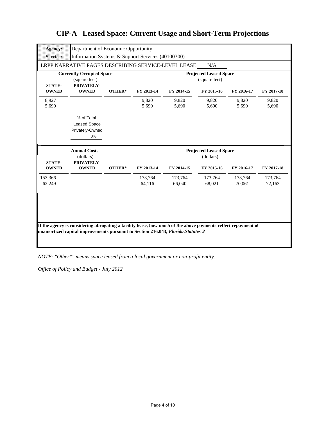| <b>Agency:</b>                | Department of Economic Opportunity                             |        |                                                |                   |                                            |                   |                   |  |
|-------------------------------|----------------------------------------------------------------|--------|------------------------------------------------|-------------------|--------------------------------------------|-------------------|-------------------|--|
| <b>Service:</b>               | Information Systems & Support Services (40100300)              |        |                                                |                   |                                            |                   |                   |  |
|                               | LRPP NARRATIVE PAGES DESCRIBING SERVICE-LEVEL LEASE            |        |                                                |                   | N/A                                        |                   |                   |  |
| <b>STATE-</b>                 | <b>Currently Occupied Space</b><br>(square feet)<br>PRIVATELY- |        | <b>Projected Leased Space</b><br>(square feet) |                   |                                            |                   |                   |  |
| <b>OWNED</b>                  | <b>OWNED</b>                                                   | OTHER* | FY 2013-14                                     | FY 2014-15        | FY 2015-16                                 | FY 2016-17        | FY 2017-18        |  |
| 8,927<br>5,690                |                                                                |        | 9,820<br>5.690                                 | 9,820<br>5.690    | 9,820<br>5.690                             | 9,820<br>5.690    | 9,820<br>5,690    |  |
|                               | % of Total<br><b>Leased Space</b><br>Privately-Owned<br>0%     |        |                                                |                   |                                            |                   |                   |  |
|                               |                                                                |        |                                                |                   |                                            |                   |                   |  |
|                               | <b>Annual Costs</b><br>(dollars)                               |        |                                                |                   | <b>Projected Leased Space</b><br>(dollars) |                   |                   |  |
| <b>STATE-</b><br><b>OWNED</b> | PRIVATELY-<br><b>OWNED</b>                                     | OTHER* | FY 2013-14                                     | FY 2014-15        | FY 2015-16                                 | FY 2016-17        | FY 2017-18        |  |
| 153,366<br>62,249             |                                                                |        | 173,764<br>64,116                              | 173,764<br>66,040 | 173,764<br>68,021                          | 173,764<br>70,061 | 173,764<br>72,163 |  |
|                               |                                                                |        |                                                |                   |                                            |                   |                   |  |

*NOTE: "Other\*" means space leased from a local government or non-profit entity.*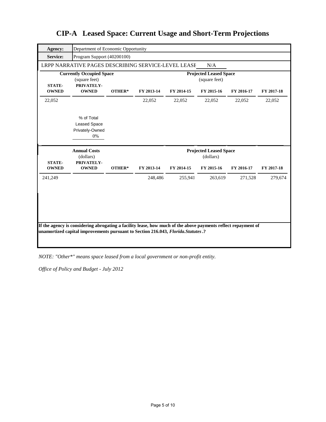| <b>Agency:</b>                | Department of Economic Opportunity                             |        |                                                |            |                               |            |            |  |
|-------------------------------|----------------------------------------------------------------|--------|------------------------------------------------|------------|-------------------------------|------------|------------|--|
| Service:                      | Program Support (40200100)                                     |        |                                                |            |                               |            |            |  |
|                               | LRPP NARRATIVE PAGES DESCRIBING SERVICE-LEVEL LEASE            |        |                                                |            | N/A                           |            |            |  |
| <b>STATE-</b>                 | <b>Currently Occupied Space</b><br>(square feet)<br>PRIVATELY- |        | <b>Projected Leased Space</b><br>(square feet) |            |                               |            |            |  |
| <b>OWNED</b>                  | <b>OWNED</b>                                                   | OTHER* | FY 2013-14                                     | FY 2014-15 | FY 2015-16                    | FY 2016-17 | FY 2017-18 |  |
| 22,052                        |                                                                |        | 22,052                                         | 22,052     | 22,052                        | 22,052     | 22,052     |  |
|                               | % of Total<br><b>Leased Space</b><br>Privately-Owned<br>0%     |        |                                                |            |                               |            |            |  |
|                               | <b>Annual Costs</b>                                            |        |                                                |            | <b>Projected Leased Space</b> |            |            |  |
|                               | (dollars)                                                      |        |                                                |            | (dollars)                     |            |            |  |
| <b>STATE-</b><br><b>OWNED</b> | PRIVATELY-<br><b>OWNED</b>                                     | OTHER* | FY 2013-14                                     | FY 2014-15 | FY 2015-16                    | FY 2016-17 | FY 2017-18 |  |
| 241,249                       |                                                                |        | 248,486                                        | 255,941    | 263,619                       | 271,528    | 279,674    |  |

*NOTE: "Other\*" means space leased from a local government or non-profit entity.*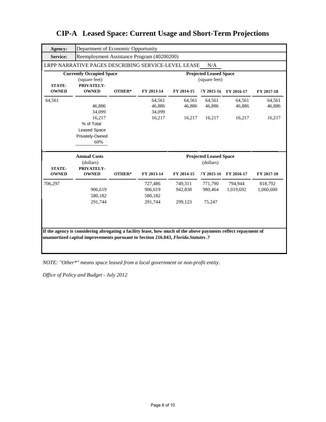| <b>Agency:</b>                | Department of Economic Opportunity                                                                                                                                                                  |        |                                                |                               |                                            |                      |                      |  |
|-------------------------------|-----------------------------------------------------------------------------------------------------------------------------------------------------------------------------------------------------|--------|------------------------------------------------|-------------------------------|--------------------------------------------|----------------------|----------------------|--|
| Service:                      | Reemployment Assistance Program (40200200)                                                                                                                                                          |        |                                                |                               |                                            |                      |                      |  |
|                               | LRPP NARRATIVE PAGES DESCRIBING SERVICE-LEVEL LEASE                                                                                                                                                 |        |                                                |                               | N/A                                        |                      |                      |  |
| <b>STATE-</b>                 | <b>Currently Occupied Space</b><br>(square feet)<br>PRIVATELY-                                                                                                                                      |        | <b>Projected Leased Space</b><br>(square feet) |                               |                                            |                      |                      |  |
| <b>OWNED</b>                  | <b>OWNED</b>                                                                                                                                                                                        | OTHER* | FY 2013-14                                     | FY 2014-15                    | FY 2015-16                                 | FY 2016-17           | FY 2017-18           |  |
| 64,561                        | 46,886<br>34,099                                                                                                                                                                                    |        | 64,561<br>46,886<br>34,099                     | 64,561<br>46,886              | 64,561<br>46,886                           | 64,561<br>46,886     | 64,561<br>46,886     |  |
|                               | 16,217<br>% of Total<br><b>Leased Space</b><br>Privately-Owned<br>60%                                                                                                                               |        | 16,217                                         | 16,217                        | 16,217                                     | 16,217               | 16,217               |  |
|                               |                                                                                                                                                                                                     |        |                                                |                               |                                            |                      |                      |  |
|                               | <b>Annual Costs</b><br>(dollars)                                                                                                                                                                    |        |                                                |                               | <b>Projected Leased Space</b><br>(dollars) |                      |                      |  |
| <b>STATE-</b><br><b>OWNED</b> | PRIVATELY-<br><b>OWNED</b>                                                                                                                                                                          | OTHER* | FY 2013-14                                     | FY 2014-15                    | FY 2015-16                                 | FY 2016-17           | FY 2017-18           |  |
| 706,297                       | 906,619<br>580,182<br>291,744                                                                                                                                                                       |        | 727,486<br>906,619<br>580,182<br>291,744       | 749.311<br>942,838<br>299,123 | 771.790<br>980,464<br>75,247               | 794.944<br>1,019,692 | 818,792<br>1,060,600 |  |
|                               | If the agency is considering abrogating a facility lease, how much of the above payments reflect repayment of<br>unamortized capital improvements pursuant to Section 216.043, Florida. Statutes .? |        |                                                |                               |                                            |                      |                      |  |

*NOTE: "Other\*" means space leased from a local government or non-profit entity.*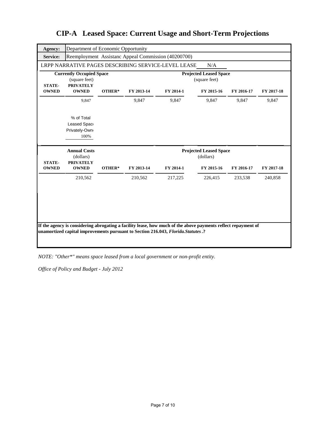| Agency:                       | Department of Economic Opportunity                                   |        |                               |                                                                                                                                                                                                     |                                            |            |            |
|-------------------------------|----------------------------------------------------------------------|--------|-------------------------------|-----------------------------------------------------------------------------------------------------------------------------------------------------------------------------------------------------|--------------------------------------------|------------|------------|
| <b>Service:</b>               |                                                                      |        |                               | Reemployment Assistanc Appeal Commission (40200700)                                                                                                                                                 |                                            |            |            |
|                               |                                                                      |        |                               | LRPP NARRATIVE PAGES DESCRIBING SERVICE-LEVEL LEASE                                                                                                                                                 | N/A                                        |            |            |
| <b>STATE-</b>                 | <b>Currently Occupied Space</b><br>(square feet)<br><b>PRIVATELY</b> |        | <b>Projected Leased Space</b> |                                                                                                                                                                                                     |                                            |            |            |
| <b>OWNED</b>                  | <b>OWNED</b>                                                         | OTHER* | FY 2013-14                    | FY 2014-1                                                                                                                                                                                           | FY 2015-16                                 | FY 2016-17 | FY 2017-18 |
|                               | 9,847                                                                |        | 9,847                         | 9,847                                                                                                                                                                                               | 9,847                                      | 9,847      | 9,847      |
|                               | % of Total<br>Leased Spac<br>Privately-Own<br>100%                   |        |                               |                                                                                                                                                                                                     |                                            |            |            |
|                               |                                                                      |        |                               |                                                                                                                                                                                                     |                                            |            |            |
|                               | <b>Annual Costs</b><br>(dollars)                                     |        |                               |                                                                                                                                                                                                     | <b>Projected Leased Space</b><br>(dollars) |            |            |
| <b>STATE-</b><br><b>OWNED</b> | <b>PRIVATELY</b><br><b>OWNED</b>                                     | OTHER* | FY 2013-14                    | FY 2014-1                                                                                                                                                                                           | FY 2015-16                                 | FY 2016-17 | FY 2017-18 |
|                               | 210,562                                                              |        | 210,562                       | 217,225                                                                                                                                                                                             | 226,415                                    | 233,538    | 240,858    |
|                               |                                                                      |        |                               | If the agency is considering abrogating a facility lease, how much of the above payments reflect repayment of<br>unamortized capital improvements pursuant to Section 216.043, Florida. Statutes .? |                                            |            |            |

*NOTE: "Other\*" means space leased from a local government or non-profit entity.*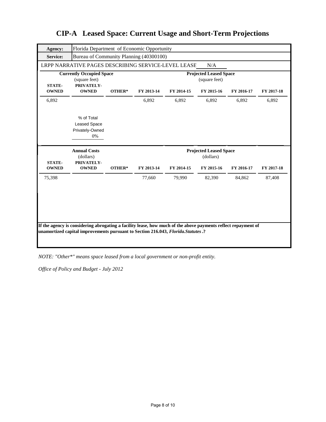| <b>Agency:</b><br><b>Service:</b> | Florida Department of Economic Opportunity<br>Bureau of Community Planning (40300100) |        |            |                                                |                               |            |            |
|-----------------------------------|---------------------------------------------------------------------------------------|--------|------------|------------------------------------------------|-------------------------------|------------|------------|
|                                   | LRPP NARRATIVE PAGES DESCRIBING SERVICE-LEVEL LEASE                                   |        |            |                                                | N/A                           |            |            |
|                                   | <b>Currently Occupied Space</b><br>(square feet)                                      |        |            | <b>Projected Leased Space</b><br>(square feet) |                               |            |            |
| <b>STATE-</b><br><b>OWNED</b>     | PRIVATELY-<br><b>OWNED</b>                                                            | OTHER* | FY 2013-14 | FY 2014-15                                     | FY 2015-16                    | FY 2016-17 | FY 2017-18 |
| 6,892                             |                                                                                       |        | 6,892      | 6,892                                          | 6,892                         | 6,892      | 6,892      |
|                                   | % of Total<br>Leased Space<br>Privately-Owned<br>0%                                   |        |            |                                                |                               |            |            |
|                                   | <b>Annual Costs</b>                                                                   |        |            |                                                | <b>Projected Leased Space</b> |            |            |
|                                   |                                                                                       |        |            |                                                |                               |            |            |
| <b>STATE-</b><br><b>OWNED</b>     | (dollars)<br>PRIVATELY-<br><b>OWNED</b>                                               | OTHER* | FY 2013-14 | FY 2014-15                                     | (dollars)<br>FY 2015-16       | FY 2016-17 | FY 2017-18 |
| 75,398                            |                                                                                       |        | 77,660     | 79,990                                         | 82,390                        | 84,862     | 87,408     |

*NOTE: "Other\*" means space leased from a local government or non-profit entity.*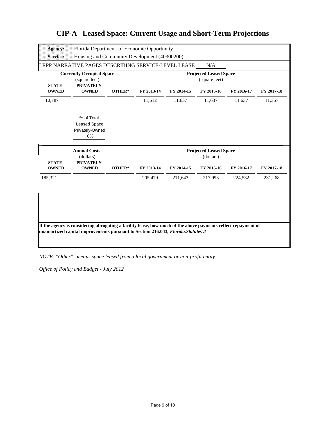| Agency:                       | Florida Department of Economic Opportunity                     |        |                                                |            |                                            |            |            |  |
|-------------------------------|----------------------------------------------------------------|--------|------------------------------------------------|------------|--------------------------------------------|------------|------------|--|
| <b>Service:</b>               | Housing and Community Development (40300200)                   |        |                                                |            |                                            |            |            |  |
|                               | LRPP NARRATIVE PAGES DESCRIBING SERVICE-LEVEL LEASE            |        |                                                |            | N/A                                        |            |            |  |
| <b>STATE-</b>                 | <b>Currently Occupied Space</b><br>(square feet)<br>PRIVATELY- |        | <b>Projected Leased Space</b><br>(square feet) |            |                                            |            |            |  |
| <b>OWNED</b>                  | <b>OWNED</b>                                                   | OTHER* | FY 2013-14                                     | FY 2014-15 | FY 2015-16                                 | FY 2016-17 | FY 2017-18 |  |
| 10,787                        |                                                                |        | 11,612                                         | 11,637     | 11,637                                     | 11,637     | 11,367     |  |
|                               | % of Total<br><b>Leased Space</b><br>Privately-Owned<br>0%     |        |                                                |            |                                            |            |            |  |
|                               |                                                                |        |                                                |            |                                            |            |            |  |
|                               | <b>Annual Costs</b><br>(dollars)                               |        |                                                |            | <b>Projected Leased Space</b><br>(dollars) |            |            |  |
| <b>STATE-</b><br><b>OWNED</b> | PRIVATELY-<br><b>OWNED</b>                                     | OTHER* | FY 2013-14                                     | FY 2014-15 | FY 2015-16                                 | FY 2016-17 | FY 2017-18 |  |
| 185,321                       |                                                                |        | 205,479                                        | 211,643    | 217,993                                    | 224,532    | 231,268    |  |

*NOTE: "Other\*" means space leased from a local government or non-profit entity.*